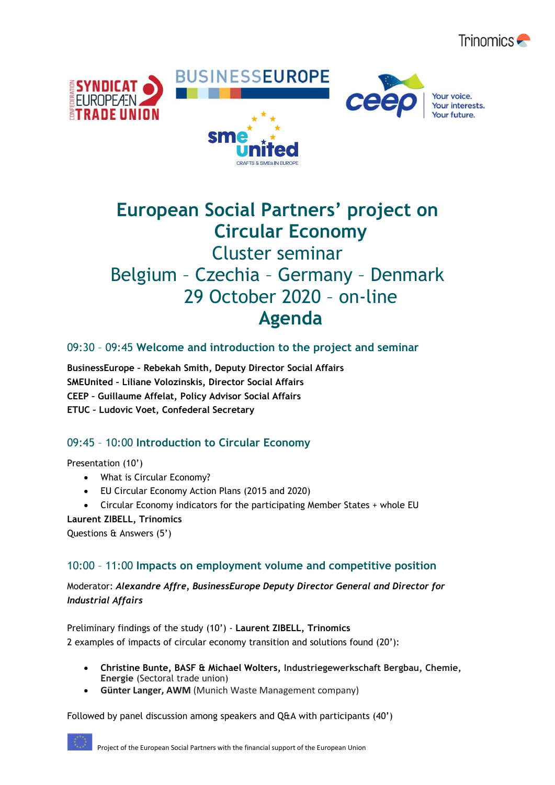



# **European Social Partners' project on Circular Economy**

## Cluster seminar Belgium – Czechia – Germany – Denmark 29 October 2020 – on-line **Agenda**

## 09:30 – 09:45 **Welcome and introduction to the project and seminar**

**BusinessEurope – Rebekah Smith, Deputy Director Social Affairs SMEUnited – Liliane Volozinskis, Director Social Affairs CEEP – Guillaume Affelat, Policy Advisor Social Affairs ETUC – Ludovic Voet, Confederal Secretary**

## 09:45 – 10:00 **Introduction to Circular Economy**

Presentation (10')

- What is Circular Economy?
- EU Circular Economy Action Plans (2015 and 2020)
- Circular Economy indicators for the participating Member States + whole EU

#### **Laurent ZIBELL, Trinomics**

Questions & Answers (5')

## 10:00 – 11:00 **Impacts on employment volume and competitive position**

Moderator: *Alexandre Affre, BusinessEurope Deputy Director General and Director for Industrial Affairs*

Preliminary findings of the study (10') - **Laurent ZIBELL, Trinomics** 2 examples of impacts of circular economy transition and solutions found (20'):

- **Christine Bunte, BASF & Michael Wolters, Industriegewerkschaft Bergbau, Chemie, Energie** (Sectoral trade union)
- **Günter Langer, AWM** (Munich Waste Management company)

Followed by panel discussion among speakers and Q&A with participants (40')